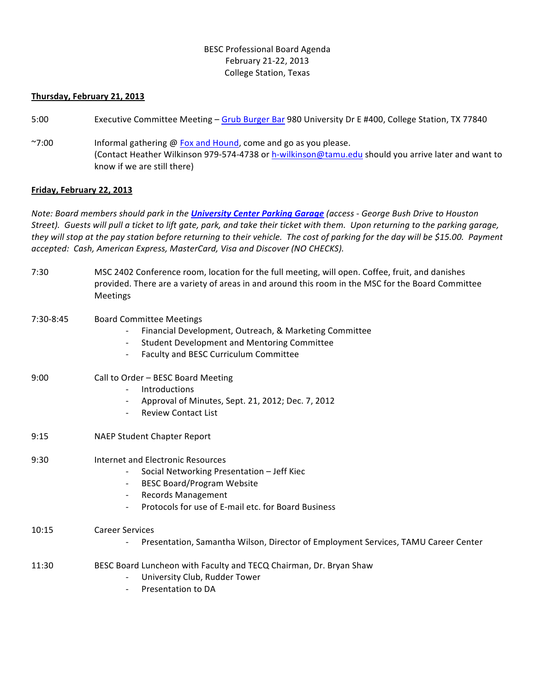## BESC Professional Board Agenda February 21-22, 2013 College Station, Texas

## **Thursday, February 21, 2013**

- 5:00 Executive Committee Meeting Grub Burger Bar 980 University Dr E #400, College Station, TX 77840
- ~7:00 Informal gathering  $\omega$  Fox and Hound, come and go as you please. (Contact Heather Wilkinson 979-574-4738 or h-wilkinson@tamu.edu should you arrive later and want to know if we are still there)

## **Friday, February 22, 2013**

*Note: Board members should park in the University Center Parking Garage (access - George Bush Drive to Houston* Street). Guests will pull a ticket to lift gate, park, and take their ticket with them. Upon returning to the parking garage, they will stop at the pay station before returning to their vehicle. The cost of parking for the day will be \$15.00. Payment *accepted: Cash, American Express, MasterCard, Visa and Discover (NO CHECKS).*

| 7:30        | MSC 2402 Conference room, location for the full meeting, will open. Coffee, fruit, and danishes<br>provided. There are a variety of areas in and around this room in the MSC for the Board Committee<br>Meetings                     |
|-------------|--------------------------------------------------------------------------------------------------------------------------------------------------------------------------------------------------------------------------------------|
| $7:30-8:45$ | <b>Board Committee Meetings</b><br>Financial Development, Outreach, & Marketing Committee<br><b>Student Development and Mentoring Committee</b><br>Faculty and BESC Curriculum Committee                                             |
| 9:00        | Call to Order - BESC Board Meeting<br>Introductions<br>Approval of Minutes, Sept. 21, 2012; Dec. 7, 2012<br><b>Review Contact List</b>                                                                                               |
| 9:15        | <b>NAEP Student Chapter Report</b>                                                                                                                                                                                                   |
| 9:30        | Internet and Electronic Resources<br>Social Networking Presentation - Jeff Kiec<br><b>BESC Board/Program Website</b><br><b>Records Management</b><br>$\overline{\phantom{a}}$<br>Protocols for use of E-mail etc. for Board Business |
| 10:15       | <b>Career Services</b><br>Presentation, Samantha Wilson, Director of Employment Services, TAMU Career Center                                                                                                                         |
| 11:30       | BESC Board Luncheon with Faculty and TECQ Chairman, Dr. Bryan Shaw<br>University Club, Rudder Tower<br>Presentation to DA                                                                                                            |